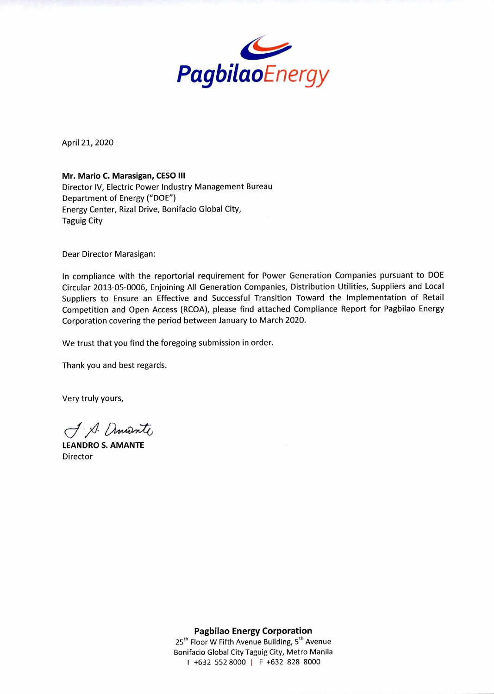

April 21, 2020

**Mr. Mario C. Marasigan, CESO III**  Director IV, Electric Power Industry Management Bureau Department of Energy ("DOE") Energy Center, Rizal Drive, Bonifacio Global City, Taguig City

Dear Director Marasigan:

In compliance with the reportorial requirement for Power Generation Companies pursuant to DOE Circular 2013-05-0006, Enjoining All Generation Companies, Distribution Utilities, Suppliers and Local Suppliers to Ensure an Effective and Successful Transition Toward the Implementation of Retail Competition and Open Access (RCOA), please find attached Compliance Report for Pagbilao Energy Corporation covering the period between January to March 2020.

We trust that you find the foregoing submission in order.

Thank you and best regards.

Very truly yours,

J. A. Amante

**LEANDRO S. AMANTE**  Director

**Pagbilao Energy Corporation**   $25<sup>th</sup>$  Floor W Fifth Avenue Building,  $5<sup>th</sup>$  Avenue Bonifacio Global City Taguig City, Metro Manila

T +632 552 8000 I F +632 828 8000